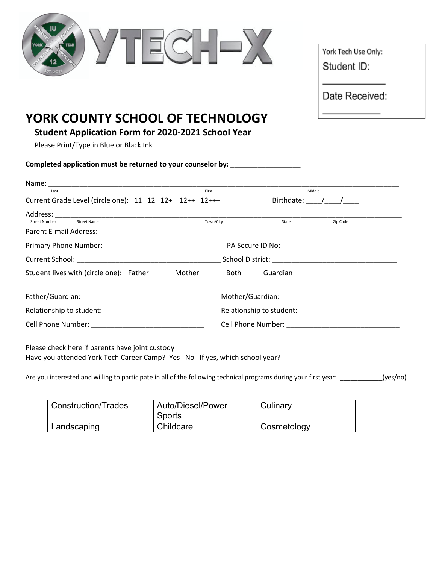|                                                                                                                                                                                                                             |           |                                     | York Tech Use Only:<br>Student ID:<br>Date Received: |
|-----------------------------------------------------------------------------------------------------------------------------------------------------------------------------------------------------------------------------|-----------|-------------------------------------|------------------------------------------------------|
| YORK COUNTY SCHOOL OF TECHNOLOGY<br><b>Student Application Form for 2020-2021 School Year</b><br>Please Print/Type in Blue or Black Ink<br>Completed application must be returned to your counselor by: ___________________ |           |                                     |                                                      |
|                                                                                                                                                                                                                             |           | Middle                              |                                                      |
| Current Grade Level (circle one): 11 12 12+ 12++ 12+++                                                                                                                                                                      |           | Birthdate: $\_\_\_\_\_\_\_\_\_\_\_$ |                                                      |
| <b>Street Number</b><br><b>Street Name</b>                                                                                                                                                                                  | Town/City | State                               | Zip Code                                             |
|                                                                                                                                                                                                                             |           |                                     |                                                      |
|                                                                                                                                                                                                                             |           |                                     |                                                      |
|                                                                                                                                                                                                                             |           |                                     |                                                      |

| Father/Guardian:         | Mother/Guardian:         |
|--------------------------|--------------------------|
| Relationship to student: | Relationship to student: |
| Cell Phone Number:       | Cell Phone Number:       |

Please check here if parents have joint custody Have you attended York Tech Career Camp? Yes No If yes, which school year?\_\_\_\_\_\_\_\_\_\_\_\_\_\_\_\_\_\_\_\_\_\_\_\_\_\_\_

Are you interested and willing to participate in all of the following technical programs during your first year: \_\_\_\_\_\_\_\_\_(yes/no)

| Construction/Trades | Auto/Diesel/Power<br>Sports | Culinary    |
|---------------------|-----------------------------|-------------|
| Landscaping         | Childcare                   | Cosmetology |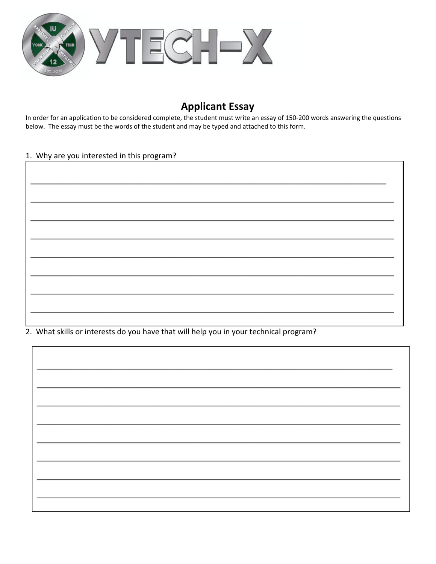

# **Applicant Essay**

In order for an application to be considered complete, the student must write an essay of 150-200 words answering the questions below. The essay must be the words of the student and may be typed and attached to this form.

#### 1. Why are you interested in this program?

| <u> 1989 - Johann John Stone, markin basar basalar (</u> |  |
|----------------------------------------------------------|--|
|                                                          |  |
| <u> 1980 - Johann Barbara, martxa a</u>                  |  |
|                                                          |  |
|                                                          |  |
|                                                          |  |
|                                                          |  |

2. What skills or interests do you have that will help you in your technical program?

| <u> 1980 - Johann Barn, mars eta bat erroman erroman erroman erroman erroman erroman erroman erroman erroman err</u> |  |
|----------------------------------------------------------------------------------------------------------------------|--|
|                                                                                                                      |  |
|                                                                                                                      |  |
|                                                                                                                      |  |
|                                                                                                                      |  |
|                                                                                                                      |  |
|                                                                                                                      |  |
|                                                                                                                      |  |
|                                                                                                                      |  |
|                                                                                                                      |  |
|                                                                                                                      |  |
|                                                                                                                      |  |
|                                                                                                                      |  |
|                                                                                                                      |  |
|                                                                                                                      |  |
|                                                                                                                      |  |
|                                                                                                                      |  |
|                                                                                                                      |  |
|                                                                                                                      |  |
|                                                                                                                      |  |
|                                                                                                                      |  |
|                                                                                                                      |  |
|                                                                                                                      |  |
|                                                                                                                      |  |
|                                                                                                                      |  |
|                                                                                                                      |  |
|                                                                                                                      |  |
|                                                                                                                      |  |
|                                                                                                                      |  |
|                                                                                                                      |  |
|                                                                                                                      |  |
|                                                                                                                      |  |
|                                                                                                                      |  |
|                                                                                                                      |  |
|                                                                                                                      |  |
|                                                                                                                      |  |
|                                                                                                                      |  |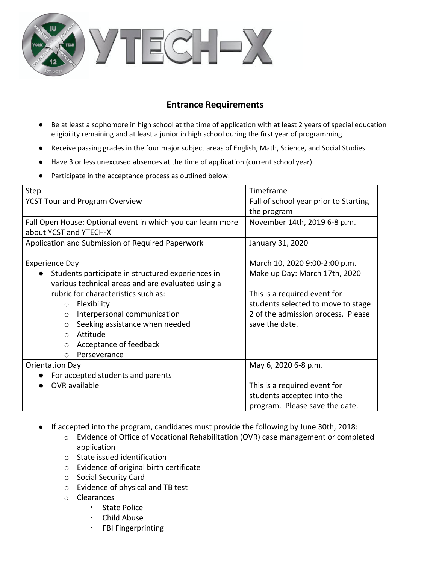

## **Entrance Requirements**

- Be at least a sophomore in high school at the time of application with at least 2 years of special education eligibility remaining and at least a junior in high school during the first year of programming
- Receive passing grades in the four major subject areas of English, Math, Science, and Social Studies
- Have 3 or less unexcused absences at the time of application (current school year)
- Participate in the acceptance process as outlined below:

| Step                                                        | Timeframe                             |
|-------------------------------------------------------------|---------------------------------------|
| <b>YCST Tour and Program Overview</b>                       | Fall of school year prior to Starting |
|                                                             | the program                           |
| Fall Open House: Optional event in which you can learn more | November 14th, 2019 6-8 p.m.          |
| about YCST and YTECH-X                                      |                                       |
| Application and Submission of Required Paperwork            | January 31, 2020                      |
|                                                             |                                       |
| <b>Experience Day</b>                                       | March 10, 2020 9:00-2:00 p.m.         |
| Students participate in structured experiences in           | Make up Day: March 17th, 2020         |
| various technical areas and are evaluated using a           |                                       |
| rubric for characteristics such as:                         | This is a required event for          |
| Flexibility<br>$\circ$                                      | students selected to move to stage    |
| Interpersonal communication<br>$\circ$                      | 2 of the admission process. Please    |
| Seeking assistance when needed<br>$\circ$                   | save the date.                        |
| Attitude<br>$\Omega$                                        |                                       |
| Acceptance of feedback<br>$\circ$                           |                                       |
| Perseverance<br>$\circ$                                     |                                       |
| <b>Orientation Day</b>                                      | May 6, 2020 6-8 p.m.                  |
| For accepted students and parents                           |                                       |
| OVR available                                               | This is a required event for          |
|                                                             | students accepted into the            |
|                                                             | program. Please save the date.        |

- If accepted into the program, candidates must provide the following by June 30th, 2018:
	- o Evidence of Office of Vocational Rehabilitation (OVR) case management or completed application
	- o State issued identification
	- o Evidence of original birth certificate
	- o Social Security Card
	- o Evidence of physical and TB test
	- o Clearances
		- State Police
		- Child Abuse
		- FBI Fingerprinting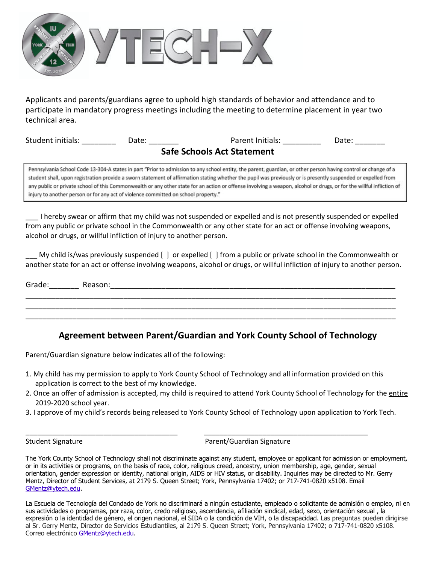

Applicants and parents/guardians agree to uphold high standards of behavior and attendance and to participate in mandatory progress meetings including the meeting to determine placement in year two technical area.

| Student initials:                 | Date: | Parent Initials: | Date: |
|-----------------------------------|-------|------------------|-------|
| <b>Safe Schools Act Statement</b> |       |                  |       |

Pennsylvania School Code 13-304-A states in part "Prior to admission to any school entity, the parent, guardian, or other person having control or change of a student shall, upon registration provide a sworn statement of affirmation stating whether the pupil was previously or is presently suspended or expelled from any public or private school of this Commonwealth or any other state for an action or offense involving a weapon, alcohol or drugs, or for the willful infliction of injury to another person or for any act of violence committed on school property."

\_\_\_ I hereby swear or affirm that my child was not suspended or expelled and is not presently suspended or expelled from any public or private school in the Commonwealth or any other state for an act or offense involving weapons, alcohol or drugs, or willful infliction of injury to another person.

My child is/was previously suspended [ ] or expelled [ ] from a public or private school in the Commonwealth or another state for an act or offense involving weapons, alcohol or drugs, or willful infliction of injury to another person.

| Grade: | Reason: |
|--------|---------|
|        |         |
|        |         |
|        |         |

#### **Agreement between Parent/Guardian and York County School of Technology**

Parent/Guardian signature below indicates all of the following:

1. My child has my permission to apply to York County School of Technology and all information provided on this application is correct to the best of my knowledge.

\_\_\_\_\_\_\_\_\_\_\_\_\_\_\_\_\_\_\_\_\_\_\_\_\_\_\_\_\_\_\_\_\_\_\_\_\_\_\_ \_\_\_\_\_\_\_\_\_\_\_\_\_\_\_\_\_\_\_\_\_\_\_\_\_\_\_\_\_\_\_\_\_\_\_\_\_\_\_\_\_\_

- 2. Once an offer of admission is accepted, my child is required to attend York County School of Technology for the entire 2019-2020 school year.
- 3. I approve of my child's records being released to York County School of Technology upon application to York Tech.

Student Signature **Parent/Guardian Signature** Parent/Guardian Signature

The York County School of Technology shall not discriminate against any student, employee or applicant for admission or employment, or in its activities or programs, on the basis of race, color, religious creed, ancestry, union membership, age, gender, sexual orientation, gender expression or identity, national origin, AIDS or HIV status, or disability. Inquiries may be directed to Mr. Gerry Mentz, Director of Student Services, at 2179 S. Queen Street; York, Pennsylvania 17402; or 717-741-0820 x5108. Email [GMentz@ytech.edu](mailto:GMentz@ytech.edu).

La Escuela de Tecnología del Condado de York no discriminará a ningún estudiante, empleado o solicitante de admisión o empleo, ni en sus actividades o programas, por raza, color, credo religioso, ascendencia, afiliación sindical, edad, sexo, orientación sexual , la expresión o la identidad de género, el origen nacional, el SIDA o la condición de VIH, o la discapacidad. Las preguntas pueden dirigirse al Sr. Gerry Mentz, Director de Servicios Estudiantiles, al 2179 S. Queen Street; York, Pennsylvania 17402; o 717-741-0820 x5108. Correo electrónico [GMentz@ytech.edu.](mailto:GMentz@ytech.edu)